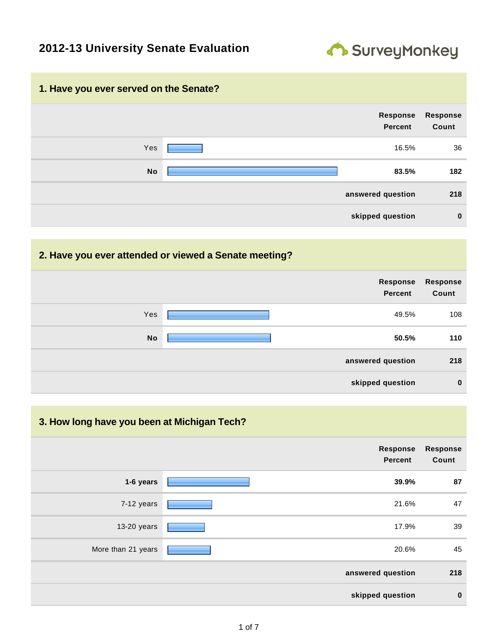## **2012-13 University Senate Evaluation**



#### **1. Have you ever served on the Senate?**



#### **2. Have you ever attended or viewed a Senate meeting?**

|           | Response<br><b>Percent</b> | Response<br>Count |
|-----------|----------------------------|-------------------|
| Yes       | 49.5%                      | 108               |
| <b>No</b> | 50.5%                      | 110               |
|           | answered question          | 218               |
|           | skipped question           | $\bf{0}$          |

#### **3. How long have you been at Michigan Tech?**

|                    | <b>Response</b><br><b>Percent</b> | <b>Response</b><br>Count |
|--------------------|-----------------------------------|--------------------------|
| 1-6 years          | 39.9%                             | 87                       |
| 7-12 years         | 21.6%                             | 47                       |
| 13-20 years        | 17.9%                             | 39                       |
| More than 21 years | 20.6%                             | 45                       |
|                    | answered question                 | 218                      |
|                    | skipped question                  | $\mathbf 0$              |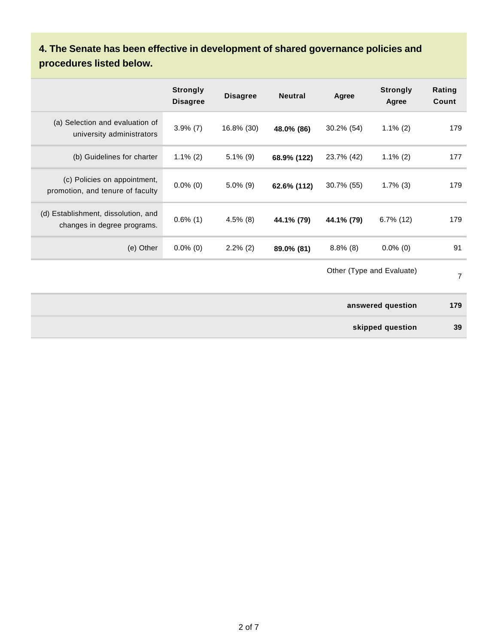# **4. The Senate has been effective in development of shared governance policies and procedures listed below.**

|                                                                    | <b>Strongly</b><br><b>Disagree</b> | <b>Disagree</b> | <b>Neutral</b> | Agree       | <b>Strongly</b><br>Agree  | Rating<br><b>Count</b> |
|--------------------------------------------------------------------|------------------------------------|-----------------|----------------|-------------|---------------------------|------------------------|
| (a) Selection and evaluation of<br>university administrators       | $3.9\%$ (7)                        | 16.8% (30)      | 48.0% (86)     | 30.2% (54)  | $1.1\%$ (2)               | 179                    |
| (b) Guidelines for charter                                         | $1.1\%$ (2)                        | $5.1\%$ (9)     | 68.9% (122)    | 23.7% (42)  | $1.1\%$ (2)               | 177                    |
| (c) Policies on appointment,<br>promotion, and tenure of faculty   | $0.0\%$ (0)                        | $5.0\%$ (9)     | 62.6% (112)    | 30.7% (55)  | $1.7\%$ (3)               | 179                    |
| (d) Establishment, dissolution, and<br>changes in degree programs. | $0.6\%$ (1)                        | $4.5\%$ (8)     | 44.1% (79)     | 44.1% (79)  | $6.7\%$ (12)              | 179                    |
| (e) Other                                                          | $0.0\%$ (0)                        | $2.2\%$ (2)     | 89.0% (81)     | $8.8\%$ (8) | $0.0\%$ (0)               | 91                     |
|                                                                    |                                    |                 |                |             | Other (Type and Evaluate) | $\overline{7}$         |
|                                                                    |                                    |                 |                |             | answered question         | 179                    |
|                                                                    |                                    |                 |                |             | skipped question          | 39                     |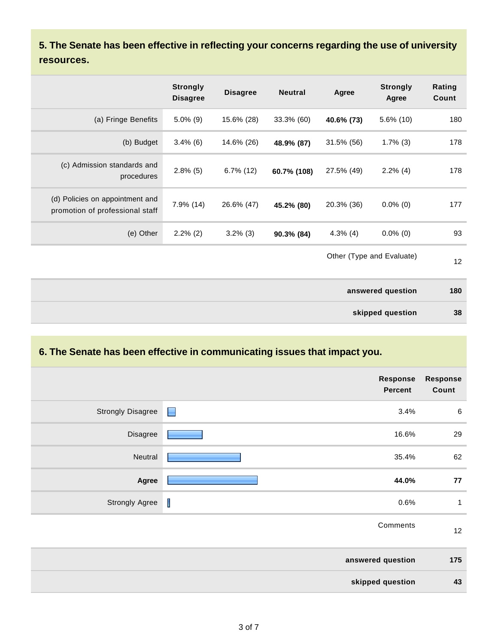**5. The Senate has been effective in reflecting your concerns regarding the use of university resources.**

|                                                                    | <b>Strongly</b><br><b>Disagree</b> | <b>Disagree</b> | <b>Neutral</b> | Agree       | <b>Strongly</b><br>Agree  | Rating<br>Count |
|--------------------------------------------------------------------|------------------------------------|-----------------|----------------|-------------|---------------------------|-----------------|
| (a) Fringe Benefits                                                | $5.0\%$ (9)                        | 15.6% (28)      | 33.3% (60)     | 40.6% (73)  | $5.6\%$ (10)              | 180             |
| (b) Budget                                                         | $3.4\%$ (6)                        | 14.6% (26)      | 48.9% (87)     | 31.5% (56)  | $1.7\%$ (3)               | 178             |
| (c) Admission standards and<br>procedures                          | $2.8\%$ (5)                        | $6.7\%$ (12)    | 60.7% (108)    | 27.5% (49)  | $2.2\%$ (4)               | 178             |
| (d) Policies on appointment and<br>promotion of professional staff | $7.9\%$ (14)                       | 26.6% (47)      | 45.2% (80)     | 20.3% (36)  | $0.0\%$ (0)               | 177             |
| (e) Other                                                          | $2.2\%$ (2)                        | $3.2\%$ (3)     | 90.3% (84)     | $4.3\%$ (4) | $0.0\%$ (0)               | 93              |
|                                                                    |                                    |                 |                |             | Other (Type and Evaluate) | 12              |

| answered question | 180 |
|-------------------|-----|
| skipped question  | 38  |

# **6. The Senate has been effective in communicating issues that impact you.**

|                          | Response<br><b>Percent</b> | <b>Response</b><br>Count |
|--------------------------|----------------------------|--------------------------|
| <b>Strongly Disagree</b> | 3.4%<br>Е                  | $\,6\,$                  |
| Disagree                 | 16.6%                      | 29                       |
| Neutral                  | 35.4%                      | 62                       |
| Agree                    | 44.0%                      | 77                       |
| <b>Strongly Agree</b>    | I<br>0.6%                  | 1                        |
|                          | Comments                   | 12                       |
|                          | answered question          | 175                      |
|                          | skipped question           | 43                       |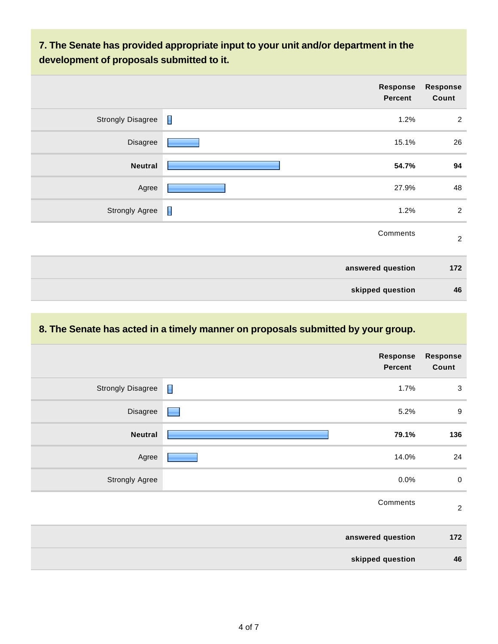## **7. The Senate has provided appropriate input to your unit and/or department in the development of proposals submitted to it.**

| <b>Response</b><br>Count | Response<br>Percent    |                          |
|--------------------------|------------------------|--------------------------|
| $\overline{2}$           | $\blacksquare$<br>1.2% | <b>Strongly Disagree</b> |
| 26                       | 15.1%                  | Disagree                 |
| 94                       | 54.7%                  | <b>Neutral</b>           |
| 48                       | 27.9%                  | Agree                    |
| $\overline{2}$           | $\blacksquare$<br>1.2% | <b>Strongly Agree</b>    |
| $\overline{2}$           | Comments               |                          |
| 172                      | answered question      |                          |
| 46                       | skipped question       |                          |

## **8. The Senate has acted in a timely manner on proposals submitted by your group.**

|                          |                | <b>Response</b><br><b>Percent</b> | Response<br>Count |
|--------------------------|----------------|-----------------------------------|-------------------|
| <b>Strongly Disagree</b> | $\blacksquare$ | 1.7%                              | $\mathbf{3}$      |
| Disagree                 | ٠              | 5.2%                              | $\boldsymbol{9}$  |
| <b>Neutral</b>           |                | 79.1%                             | 136               |
| Agree                    |                | 14.0%                             | 24                |
| <b>Strongly Agree</b>    |                | 0.0%                              | $\pmb{0}$         |
|                          |                | Comments                          | $\overline{2}$    |
|                          |                | answered question                 | 172               |
|                          |                | skipped question                  | 46                |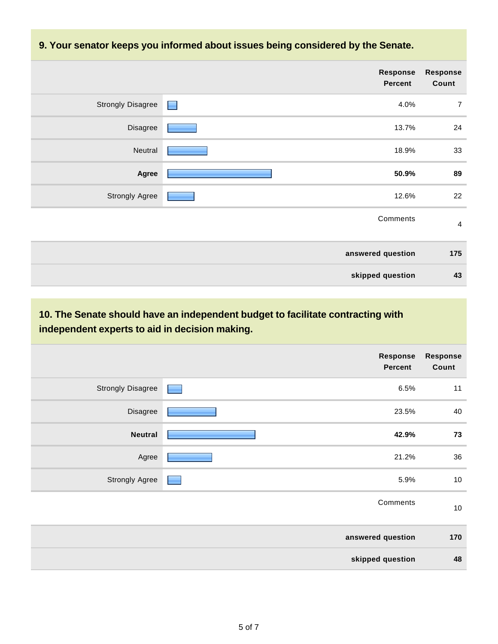#### **9. Your senator keeps you informed about issues being considered by the Senate.**

|                          | <b>Response</b><br><b>Percent</b> | <b>Response</b><br>Count |
|--------------------------|-----------------------------------|--------------------------|
| <b>Strongly Disagree</b> | 4.0%<br>H                         | $\overline{7}$           |
| Disagree                 | 13.7%                             | 24                       |
| Neutral                  | 18.9%                             | 33                       |
| Agree                    | 50.9%                             | 89                       |
| <b>Strongly Agree</b>    | 12.6%                             | 22                       |
|                          | Comments                          | $\overline{4}$           |
|                          | answered question                 | 175                      |
|                          | skipped question                  | 43                       |

## **10. The Senate should have an independent budget to facilitate contracting with independent experts to aid in decision making.**

|                          | <b>Response</b><br><b>Percent</b> | <b>Response</b><br>Count |
|--------------------------|-----------------------------------|--------------------------|
| <b>Strongly Disagree</b> | 6.5%<br><b>Contract</b>           | 11                       |
| Disagree                 | 23.5%                             | 40                       |
| <b>Neutral</b>           | 42.9%                             | 73                       |
| Agree                    | 21.2%                             | 36                       |
| <b>Strongly Agree</b>    | 5.9%                              | $10\,$                   |
|                          | Comments                          | $10\,$                   |
|                          | answered question                 | 170                      |
|                          | skipped question                  | 48                       |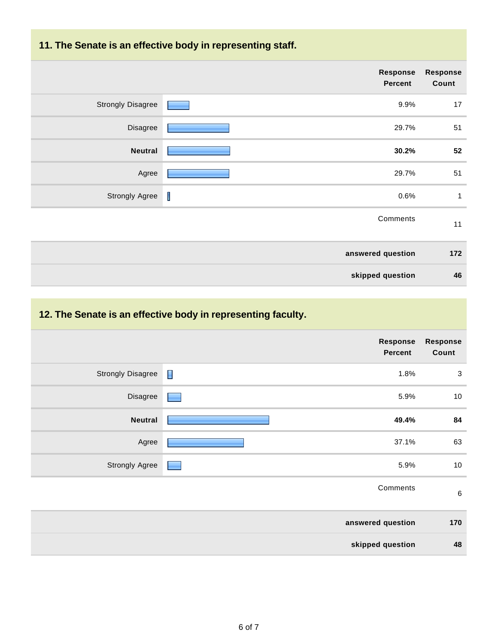## **11. The Senate is an effective body in representing staff.**

|                          | <b>Response</b><br><b>Percent</b> | Response<br>Count |
|--------------------------|-----------------------------------|-------------------|
| <b>Strongly Disagree</b> | 9.9%                              | 17                |
| Disagree                 | 29.7%                             | 51                |
| <b>Neutral</b>           | 30.2%                             | 52                |
| Agree                    | 29.7%                             | 51                |
| <b>Strongly Agree</b>    | I<br>0.6%                         | 1                 |
|                          | Comments                          | 11                |
|                          | answered question                 | 172               |
|                          | skipped question                  | 46                |

# **12. The Senate is an effective body in representing faculty.**

|                          | Response<br><b>Percent</b> | <b>Response</b><br>Count |
|--------------------------|----------------------------|--------------------------|
| <b>Strongly Disagree</b> | П<br>1.8%                  | $\sqrt{3}$               |
| Disagree                 | 5.9%                       | $10\,$                   |
| <b>Neutral</b>           | 49.4%                      | 84                       |
| Agree                    | 37.1%                      | 63                       |
| <b>Strongly Agree</b>    | 5.9%                       | $10\,$                   |
|                          | Comments                   | $\,6\,$                  |
|                          | answered question          | 170                      |
|                          | skipped question           | 48                       |